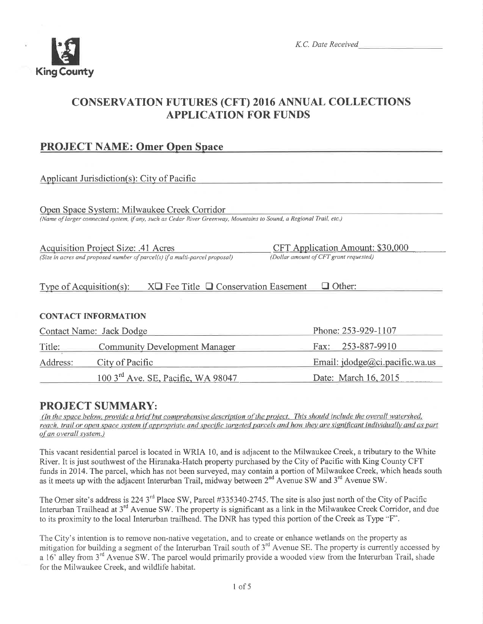

# CONSERVATION FUTURES (CFT) 2016 ANNUAL COLLECTIONS APPLICATION FOR FUNDS

## PROJECT NAME: Omer Onen Space

### Applicant Jurisdiction(s): City of Pacific

Onen Snace Svstem: Milwaukee Creek Corridor

(Name of larger connected system, if any, such as Cedar River Greenway, Mountains to Sound, a Regional Trail, etc.)

(Size in acres and proposed number of parcel(s) if a multi-parcel proposal)

Acquisition Project Size: .41 Acres<br>
(Size in acres and proposed number of parcel(s) if a multi-parcel proposal)<br>
(Dollar amount of CFT grant requested)

#### Type of Acquisition(s):  $X\Box$  Fee Title  $\Box$  Conservation Easement  $\Box$  Other:

#### CONTACT INFORMATION

| Contact Name: Jack Dodge |                                                | Phone: 253-929-1107            |  |
|--------------------------|------------------------------------------------|--------------------------------|--|
| Title:                   | <b>Community Development Manager</b>           | Fax: 253-887-9910              |  |
| Address:                 | City of Pacific                                | Email: jdodge@ci.pacific.wa.us |  |
|                          | 100 3 <sup>rd</sup> Ave. SE, Pacific, WA 98047 | Date: March 16, 2015           |  |

**PROJECT SUMMARY:**<br>(In the space below, provide a brief but comprehensive description of the project. This should include the overall watershed, reach, trail or open space system if appropriate and specific targeted parcels and how they are significant individually and as part of an overall system.)

This vacant residential parcel is located in WRIA 10, and is adjacent to the Milwaukee Creek, a tributary to the White River. It is just southwest of the Hiranaka-Hatch property purchased by the City of Pacifrc with King County CFT funds in 2014. The parcel, which has not been surveyed, may contain a portion of Milwaukee Creek, which heads south as it meets up with the adjacent Interurban Trail, midway between  $2^{nd}$  Avenue SW and  $3^{rd}$  Avenue SW.

The Omer site's address is 224 3<sup>rd</sup> Place SW, Parcel #335340-2745. The site is also just north of the City of Pacific Interurban Trailhead at  $3^{rd}$  Avenue SW. The property is significant as a link in the Milwaukee Creek Corridor, and due to its proximity to the local Interurban trailhead. The DNR has typed this portion of the Creek as Type "F".

The City's intention is to remove non-native vegetation, and to create or enhance wetlands on the property as mitigation for building a segment of the Interurban Trail south of 3<sup>rd</sup> Avenue SE. The property is currently accessed by a 16' alley from 3<sup>rd</sup> Avenue SW. The parcel would primarily provide a wooded view from the Interurban Trail, shade for the Milwaukee Creek, and wildlife habitat.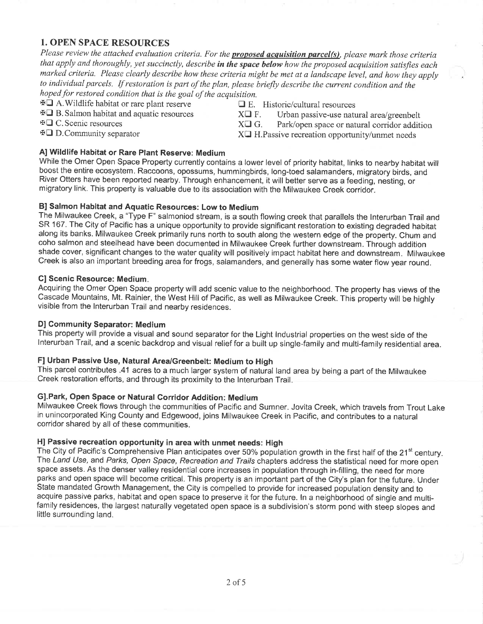#### I. OPEN SPACE RESOURCES

Please review the attached evaluation criteria. For the **proposed acquisition parcel(s)**, please mark those criteria that apply and thoroughly, yet succinctly, describe in the space below how the proposed acquisition satisfies each marked criteria. Please clearly describe how these criteria might be met at a landscape level, and how they apply to individual parcels. If restoration is part of the plan, please briefly describe the current condition and the hoped for restored condition that is the goal of the acquisition.

 $\text{H}\square$  A. Wildlife habitat or rare plant reserve  $\square$  E. Historic/cultural resources

 $\overline{XQ}$  B. Salmon habitat and aquatic resources  $XQ$  F. Urban passive-use natural area/greenbelt<br> $\overline{XQ}$  C. Scenic resources  $XQ$  G. Park/open space or natural corridor addit-

 $\overline{A} \square C$ . Scenic resources  $X\square G$ . Park/open space or natural corridor addition  $\overline{A} \square D$ . Community separator  $X\square H$ . Passive recreation opportunity/unmet needs  $X\Box$  H. Passive recreation opportunity/unmet needs

### Al Wildlife Habitat or Rare Plant Reserve: Medium

While the Omer Open Space Property currently contains a lower level of priority habitat, links to nearby habitat will boost the entire ecosystem. Raccoons, opossums, hummingbirds, long-toed salamanders, migratory birds, and River Otters have been reported nearby. Through enhancement, it will better serve as a feeding, nesting, or migratory link. This property is valuable due to its association with the Milwaukee Creek corridor.

#### Bl Salmon Habitat and Aquatic Resources: Low to Medium

The Milwaukee Creek, a "Type F" salmoniod stream, is a south flowing creek that parallels the lnterurban Trail and SR 167. The City of Pacific has a unique opportunity to provide significant restoration to existing degraded habitat along its banks. Milwaukee Creek primarily runs north to south along the western edge of the property. Chum and coho salmon and steelhead have been documented in Milwaukee Creek further downstream. Through addition shade cover, significant changes to the water quality will positively impact habitat here and downstream. Milwaukee Creek is also an important breeding area for frogs, salamanders, and generally has some water flow year round.

#### Cl Scenic Resource: Medium.

Acquiring the Omer Open Space property will add scenic value to the neighborhood. The property has views of the Cascade Mountains, Mt. Rainier, the West Hill of Pacifíc, as well as Milwaukee Creek. This property will be highly visible from the lnterurban Trail and nearby residences.

#### Dl Community Separator: Medium

This property will provide a visual and sound separator for the Light lndustrial properties on the west side of the lnterurban Trail, and a scenic backdrop and visual relief for a built up single-family and multi-family residential area.

#### F] Urban Passive Use, Natural Area/Greenbelt: Medium to High

This parcel contributes .41 acres to a much larger system of natural land area by being a part of the Milwaukee creek restoration efforts, and through its proximity to the lnterurban Trail.

#### Gl.Park, Open Space or Natural Corridor Addition: Medíum

Milwaukee Creek flows through the communities of Pacific and Sumner. Jovita Creek, which travels from Trout Lake in unincorporated King County and Edgewood, joins Milwaukee Creek in Pacific, and contributes to a natural corridor shared by all of these communities.

#### Hl Passive recreation opportunity in area with unmet needs: High

The City of Pacific's Comprehensive Plan anticipates over 50% population growth in the first half of the 21<sup>st</sup> century. The Land Use, and Parks, Open Space, Recreation and Trails chapters address the statistical need for more open space assets. As the denser valley residential core increases in population through in-filling, the need for more parks and open space will become critical. This property ís an important part of the City's plan for the future. Under State mandated Growth Management, the City is compelled to provide for increased population density and to acquire passive parks, habitat and open space to preserve it for the future. ln a neighborhood of single and multífamily residences, the largest naturally vegetated open space is a subdivision's storm pond with steep slopes and little surrounding land.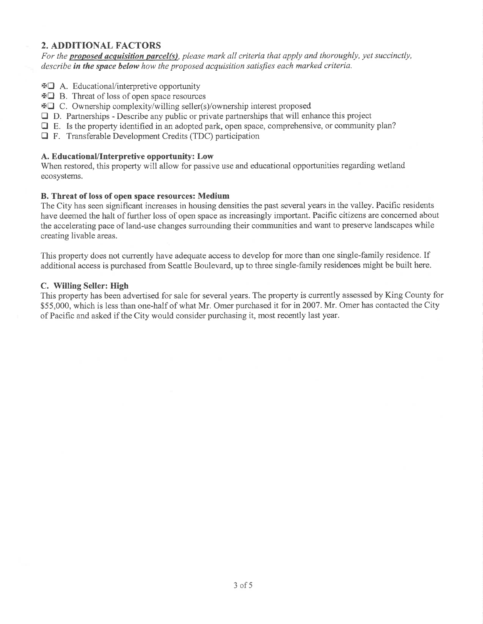#### 2. ADDITIONAL FACTORS

For the **proposed acquisition parcel(s)**, please mark all criteria that apply and thoroughly, yet succinctly, describe in the space below how the proposed acquisition satisfies each marked criteria.

- $\text{A.}\nightharpoonup$  A. Educational/interpretive opportunity
- $\text{H} \square$  B. Threat of loss of open space resources
- $\text{FQ}$  C. Ownership complexity/willing seller(s)/ownership interest proposed
- $\Box$  D. Partnerships Describe any public or private partnerships that will enhance this project
- $\Box$  E. Is the property identified in an adopted park, open space, comprehensive, or community plan?
- $\Box$  F. Transferable Development Credits (TDC) participation

#### A. EducationaUlnterpretive opportunity: Low

When restored, this property will allow for passive use and educational opportunities regarding wetland ecosystems.

#### B. Threat of loss of open space resources: Medium

The City has seen significant increases in housing densities the past several years in the valley. Pacific residents have deemed the halt of further loss of open space as increasingly important. Pacific citizens are concerned about the accelerating pace of land-use changes surrounding their communities and want to preserve landscapes while creating livable areas.

This property does not currently have adequate access to develop for more than one single-family residence. If additional access is purchased from Seattle Boulevard, up to three single-family residences might be built here.

#### C. Willing Seller: High

This property has been advertised for sale for several years. The property is currently assessed by King County for \$55,000, which is less than one-half of what Mr. Omer purchased it for in 2007. Mr. Omer has contacted the City of Pacific and asked if the City would consider purchasing it, most recently last year.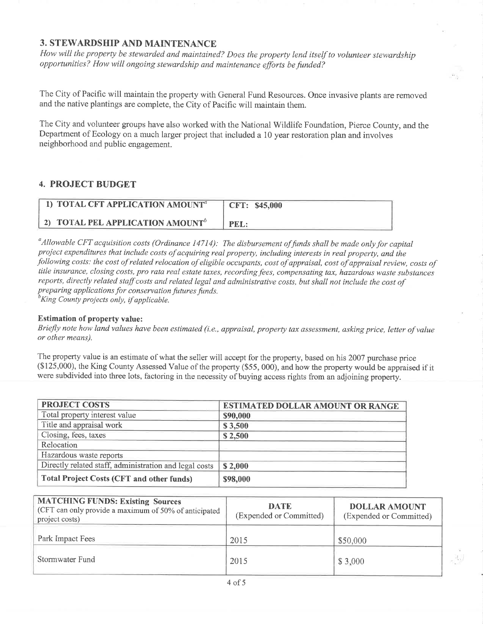#### 3. STEWARDSHIP AND MAINTENANCE

How will the property be stewarded and maintained? Does the property lend itself to volunteer stewardship opportunities? How will ongoing stewardship and maintenance efforts be funded?

The City of Pacific will maintain the property with General Fund Resources. Once invasive plants are removed and the native plantings are complete, the city of Pacific will maintain them.

The City and volunteer groups have also worked with the National Wildlife Foundation, Pierce County, and the Department of Ecology on a much larger project that included a l0 year restoration plan and involves neighborhood and public engagement.

#### 4. PROJECT BUDGET

| 1) TOTAL CFT APPLICATION AMOUNT <sup>a</sup> | CFT: \$45,000 |
|----------------------------------------------|---------------|
| 2) TOTAL PEL APPLICATION AMOUNT <sup>b</sup> | PEL:          |

 $\alpha$ Allowable CFT acquisition costs (Ordinance 14714): The disbursement of funds shall be made only for capital project expenditures that include costs of acquiring real property, including interests in real property, and the following costs: the cost of related relocation of eligible occupants, cost of appraisal, cost of appraisal review, costs of title insurance, closing costs, pro rata real estate taxes, recording fees, compensating tax, hazardous waste substances reports, directly related staff costs and related legal and administrative costs, but shall not include the cost of preparing applications for conservation futures funds.<br> ${}^{b}$ King County projects only, if applicable.

Estimation of property value:

Briefly note how land values have been estimated (i.e., appraisal, property tax assessment, asking price, letter of value or other means).

The property value is an estimate of what the seller will accept for the property, based on his 2007 purchase price (\$125,000), the King County Assessed Value of the property (\$55, 000), and how the property would be appraised if it were subdivided into three lots, factoring in the necessity of buying access rights from an adjoining property.

| <b>PROJECT COSTS</b>                                   | <b>ESTIMATED DOLLAR AMOUNT OR RANGE</b> |  |
|--------------------------------------------------------|-----------------------------------------|--|
| Total property interest value                          | \$90,000                                |  |
| Title and appraisal work                               | \$3,500                                 |  |
| Closing, fees, taxes                                   | \$2,500                                 |  |
| Relocation                                             |                                         |  |
| Hazardous waste reports                                |                                         |  |
| Directly related staff, administration and legal costs | \$2,000                                 |  |
| <b>Total Project Costs (CFT and other funds)</b>       | \$98,000                                |  |

| <b>MATCHING FUNDS: Existing Sources</b><br>(CFT can only provide a maximum of 50% of anticipated<br>project costs) | <b>DATE</b><br>(Expended or Committed) | <b>DOLLAR AMOUNT</b><br>(Expended or Committed) |
|--------------------------------------------------------------------------------------------------------------------|----------------------------------------|-------------------------------------------------|
| Park Impact Fees                                                                                                   | 2015                                   | \$50,000                                        |
| Stormwater Fund                                                                                                    | 2015                                   | \$3,000                                         |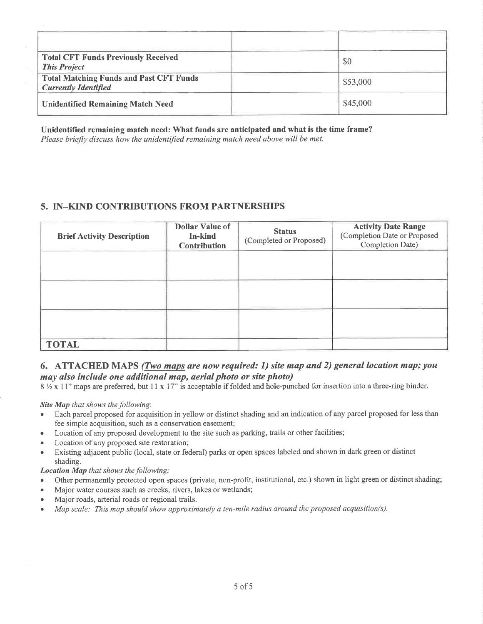| <b>Total CFT Funds Previously Received</b><br><b>This Project</b>             | \$0      |
|-------------------------------------------------------------------------------|----------|
| <b>Total Matching Funds and Past CFT Funds</b><br><b>Currently Identified</b> | \$53,000 |
| <b>Unidentified Remaining Match Need</b>                                      | \$45,000 |

Unidentified remaining match need: What funds are anticipated and what is the time frame?

Please briefly discuss how the unidentified remaining match need above will be met.

#### 5. IN-KIND CONTRIBUTIONS FROM PARTNERSHIPS

| <b>Brief Activity Description</b> | <b>Dollar Value of</b><br>In-kind<br><b>Contribution</b> | <b>Status</b><br>(Completed or Proposed) | <b>Activity Date Range</b><br>(Completion Date or Proposed<br>Completion Date) |
|-----------------------------------|----------------------------------------------------------|------------------------------------------|--------------------------------------------------------------------------------|
|                                   |                                                          |                                          |                                                                                |
|                                   |                                                          |                                          |                                                                                |
|                                   |                                                          |                                          |                                                                                |
| <b>TOTAL</b>                      |                                                          |                                          |                                                                                |

#### 6. ATTACHED MAPS (*Two maps are now required: 1) site map and 2) general location map; you* may also include one additional map, aerial photo or site photo)

 $8\frac{1}{2} \times 11$ " maps are preferred, but 11 x 17" is acceptable if folded and hole-punched for insertion into a three-ring binder.

Site Map that shows the following:

- Each parcel proposed for acquisition in yellow or distinct shading and an indication of any parcel proposed for less than fee simple acquisition, such as a conservation easement;
- Location of any proposed development to the site such as parking, trails or other facilities;
- Location of any proposed site restoration;
- Existing adjacent public (local, state or federal) parks or open spaces labeled and shown in dark green or distinct shading.

Location Map that shows the following:

- Other permanently protected open spaces (private, non-profit, institutional, etc.) shown in light green or distinct shading;
- Major water courses such as creeks, rivers, lakes or wetlands;
- Major roads, arterial roads or regional trails.
- Map scale: This map should show approximately a ten-mile radius around the proposed acquisition(s).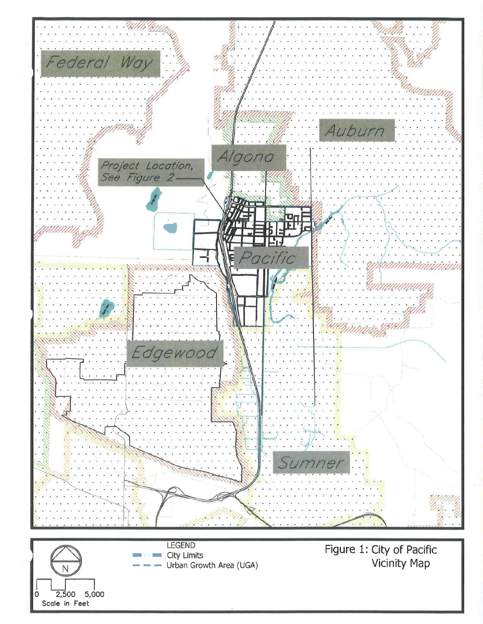

Ν  $\overline{2,500}$  5,000 Scole in Feet

**LEGEND City Limits** Urban Growth Area (UGA)

Figure 1: City of Pacific Vicinity Map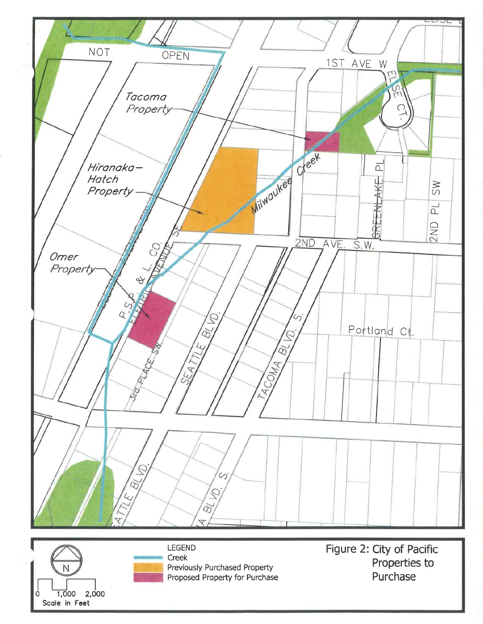

![](_page_6_Picture_1.jpeg)

![](_page_6_Picture_2.jpeg)

**LEGEND** Creek Previously Purchased Property Proposed Property for Purchase

Figure 2: City of Pacific Properties to Purchase